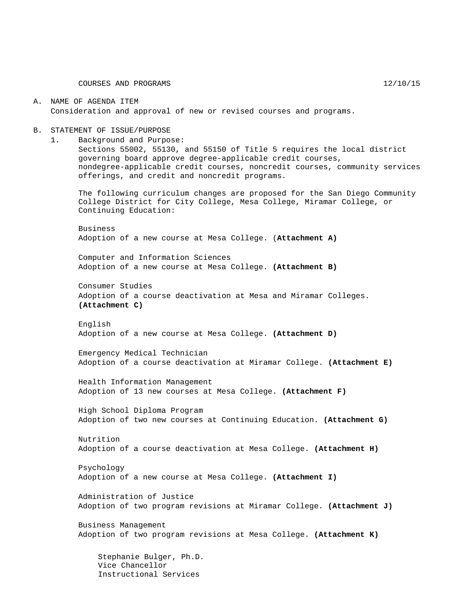#### A. NAME OF AGENDA ITEM Consideration and approval of new or revised courses and programs.

#### B. STATEMENT OF ISSUE/PURPOSE

1. Background and Purpose:

Sections 55002, 55130, and 55150 of Title 5 requires the local district governing board approve degree-applicable credit courses, nondegree-applicable credit courses, noncredit courses, community services offerings, and credit and noncredit programs.

The following curriculum changes are proposed for the San Diego Community College District for City College, Mesa College, Miramar College, or Continuing Education:

Business Adoption of a new course at Mesa College. (**Attachment A)**

Computer and Information Sciences Adoption of a new course at Mesa College. **(Attachment B)**

Consumer Studies Adoption of a course deactivation at Mesa and Miramar Colleges. **(Attachment C)**

English Adoption of a new course at Mesa College. **(Attachment D)**

Emergency Medical Technician Adoption of a course deactivation at Miramar College. **(Attachment E)**

Health Information Management Adoption of 13 new courses at Mesa College. **(Attachment F)**

High School Diploma Program Adoption of two new courses at Continuing Education. **(Attachment G)**

Nutrition Adoption of a course deactivation at Mesa College. **(Attachment H)**

Psychology Adoption of a new course at Mesa College. **(Attachment I)**

Administration of Justice Adoption of two program revisions at Miramar College. **(Attachment J)**

Business Management Adoption of two program revisions at Mesa College. **(Attachment K)**

Stephanie Bulger, Ph.D. Vice Chancellor Instructional Services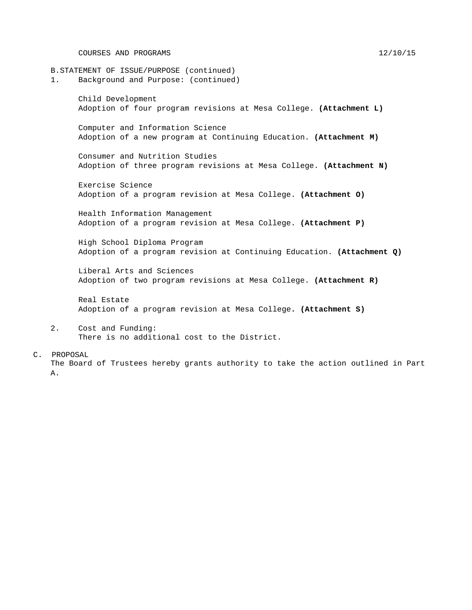COURSES AND PROGRAMS 12/10/15

B.STATEMENT OF ISSUE/PURPOSE (continued)<br>1. Background and Purpose: (continued 1. Background and Purpose: (continued) Child Development Adoption of four program revisions at Mesa College. **(Attachment L)** Computer and Information Science Adoption of a new program at Continuing Education. **(Attachment M)** Consumer and Nutrition Studies Adoption of three program revisions at Mesa College. **(Attachment N)** Exercise Science Adoption of a program revision at Mesa College. **(Attachment O)** Health Information Management Adoption of a program revision at Mesa College. **(Attachment P)** High School Diploma Program Adoption of a program revision at Continuing Education. **(Attachment Q)** Liberal Arts and Sciences Adoption of two program revisions at Mesa College. **(Attachment R)** Real Estate Adoption of a program revision at Mesa College**. (Attachment S)** 2. Cost and Funding: There is no additional cost to the District.

C. PROPOSAL The Board of Trustees hereby grants authority to take the action outlined in Part A.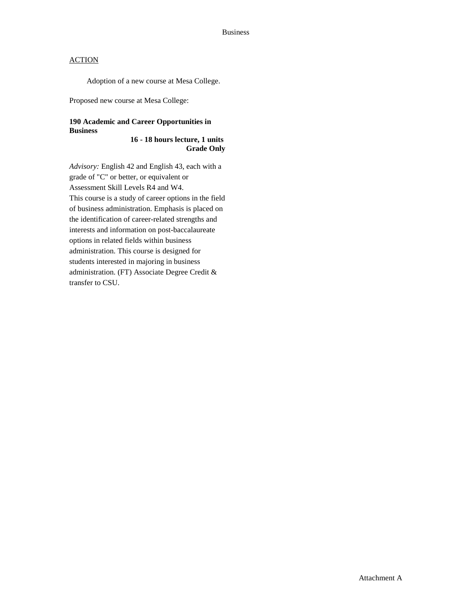Adoption of a new course at Mesa College.

Proposed new course at Mesa College:

## **190 Academic and Career Opportunities in Business**

#### **16 - 18 hours lecture, 1 units Grade Only**

*Advisory:* English 42 and English 43, each with a grade of "C" or better, or equivalent or Assessment Skill Levels R4 and W4. This course is a study of career options in the field of business administration. Emphasis is placed on the identification of career-related strengths and interests and information on post-baccalaureate options in related fields within business administration. This course is designed for students interested in majoring in business administration. (FT) Associate Degree Credit & transfer to CSU.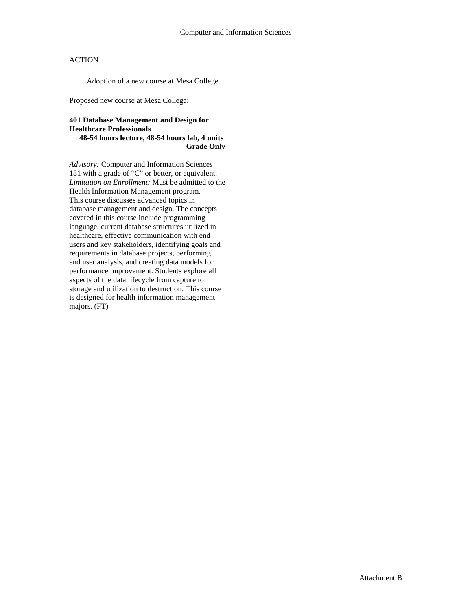Adoption of a new course at Mesa College.

Proposed new course at Mesa College:

#### **401 Database Management and Design for Healthcare Professionals 48-54 hours lecture, 48-54 hours lab, 4 units Grade Only**

*Advisory:* Computer and Information Sciences 181 with a grade of "C" or better, or equivalent. *Limitation on Enrollment:* Must be admitted to the Health Information Management program. This course discusses advanced topics in database management and design. The concepts covered in this course include programming language, current database structures utilized in healthcare, effective communication with end users and key stakeholders, identifying goals and requirements in database projects, performing end user analysis, and creating data models for performance improvement. Students explore all aspects of the data lifecycle from capture to storage and utilization to destruction. This course is designed for health information management majors. (FT)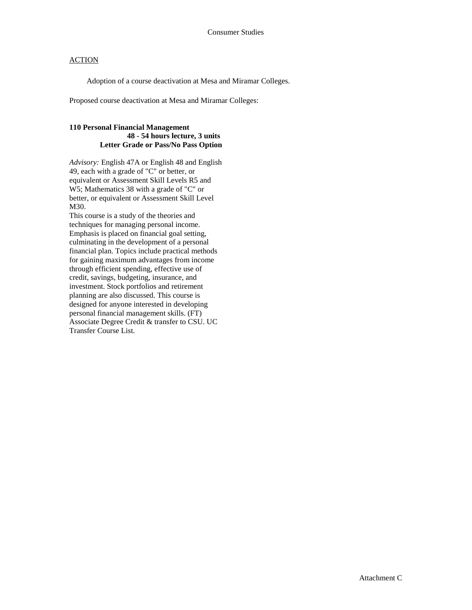Adoption of a course deactivation at Mesa and Miramar Colleges.

Proposed course deactivation at Mesa and Miramar Colleges:

#### **110 Personal Financial Management 48 - 54 hours lecture, 3 units Letter Grade or Pass/No Pass Option**

*Advisory:* English 47A or English 48 and English 49, each with a grade of "C" or better, or equivalent or Assessment Skill Levels R5 and W5; Mathematics 38 with a grade of "C" or better, or equivalent or Assessment Skill Level M30.

This course is a study of the theories and techniques for managing personal income. Emphasis is placed on financial goal setting, culminating in the development of a personal financial plan. Topics include practical methods for gaining maximum advantages from income through efficient spending, effective use of credit, savings, budgeting, insurance, and investment. Stock portfolios and retirement planning are also discussed. This course is designed for anyone interested in developing personal financial management skills. (FT) Associate Degree Credit & transfer to CSU. UC Transfer Course List.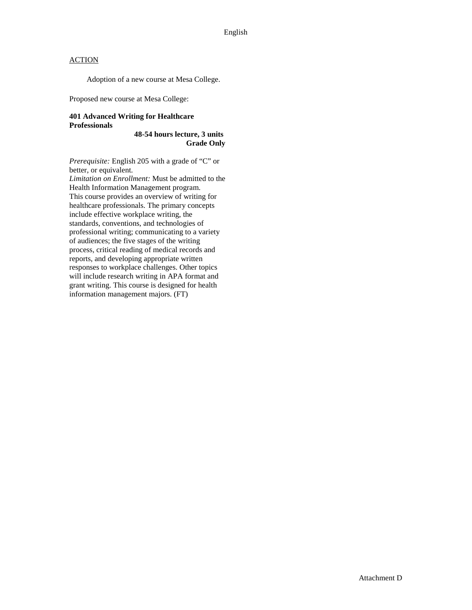Adoption of a new course at Mesa College.

Proposed new course at Mesa College:

#### **401 Advanced Writing for Healthcare Professionals**

**48-54 hours lecture, 3 units Grade Only**

*Prerequisite:* English 205 with a grade of "C" or better, or equivalent.

*Limitation on Enrollment:* Must be admitted to the Health Information Management program. This course provides an overview of writing for healthcare professionals. The primary concepts include effective workplace writing, the standards, conventions, and technologies of professional writing; communicating to a variety of audiences; the five stages of the writing process, critical reading of medical records and reports, and developing appropriate written responses to workplace challenges. Other topics will include research writing in APA format and grant writing. This course is designed for health information management majors. (FT)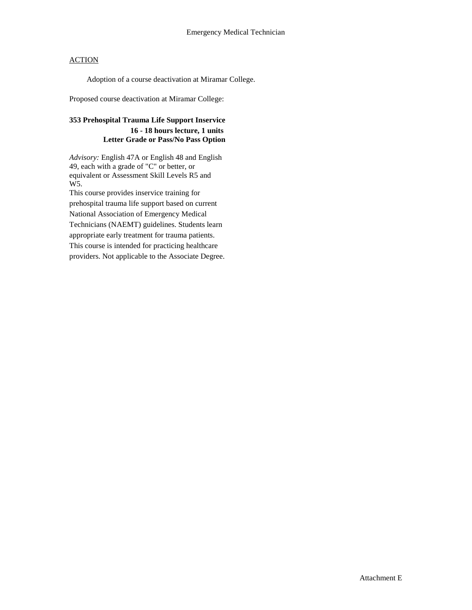Adoption of a course deactivation at Miramar College.

Proposed course deactivation at Miramar College:

## **353 Prehospital Trauma Life Support Inservice 16 - 18 hours lecture, 1 units Letter Grade or Pass/No Pass Option**

*Advisory:* English 47A or English 48 and English 49, each with a grade of "C" or better, or equivalent or Assessment Skill Levels R5 and W5.

This course provides inservice training for prehospital trauma life support based on current National Association of Emergency Medical Technicians (NAEMT) guidelines. Students learn appropriate early treatment for trauma patients. This course is intended for practicing healthcare providers. Not applicable to the Associate Degree.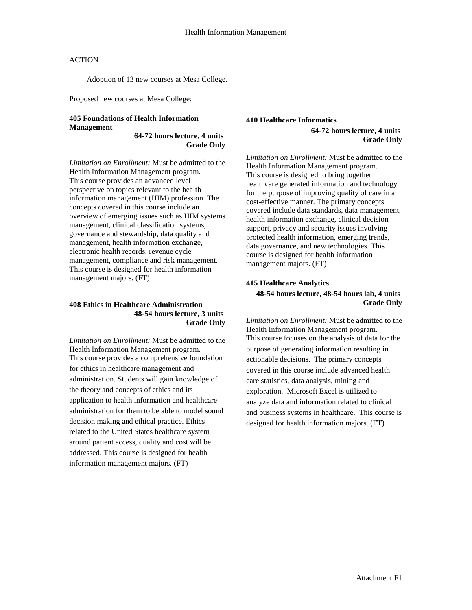Adoption of 13 new courses at Mesa College.

Proposed new courses at Mesa College:

### **405 Foundations of Health Information Management**

**64-72 hours lecture, 4 units Grade Only**

*Limitation on Enrollment:* Must be admitted to the Health Information Management program. This course provides an advanced level perspective on topics relevant to the health information management (HIM) profession. The concepts covered in this course include an overview of emerging issues such as HIM systems management, clinical classification systems, governance and stewardship, data quality and management, health information exchange, electronic health records, revenue cycle management, compliance and risk management. This course is designed for health information management majors. (FT)

#### **408 Ethics in Healthcare Administration 48-54 hours lecture, 3 units Grade Only**

*Limitation on Enrollment:* Must be admitted to the Health Information Management program. This course provides a comprehensive foundation for ethics in healthcare management and administration. Students will gain knowledge of the theory and concepts of ethics and its application to health information and healthcare administration for them to be able to model sound decision making and ethical practice. Ethics related to the United States healthcare system around patient access, quality and cost will be addressed. This course is designed for health information management majors. (FT)

#### **410 Healthcare Informatics**

**64-72 hours lecture, 4 units Grade Only**

*Limitation on Enrollment:* Must be admitted to the Health Information Management program. This course is designed to bring together healthcare generated information and technology for the purpose of improving quality of care in a cost-effective manner. The primary concepts covered include data standards, data management, health information exchange, clinical decision support, privacy and security issues involving protected health information, emerging trends, data governance, and new technologies. This course is designed for health information management majors. (FT)

### **415 Healthcare Analytics 48-54 hours lecture, 48-54 hours lab, 4 units Grade Only**

*Limitation on Enrollment:* Must be admitted to the Health Information Management program. This course focuses on the analysis of data for the purpose of generating information resulting in actionable decisions. The primary concepts covered in this course include advanced health care statistics, data analysis, mining and exploration. Microsoft Excel is utilized to analyze data and information related to clinical and business systems in healthcare. This course is designed for health information majors. (FT)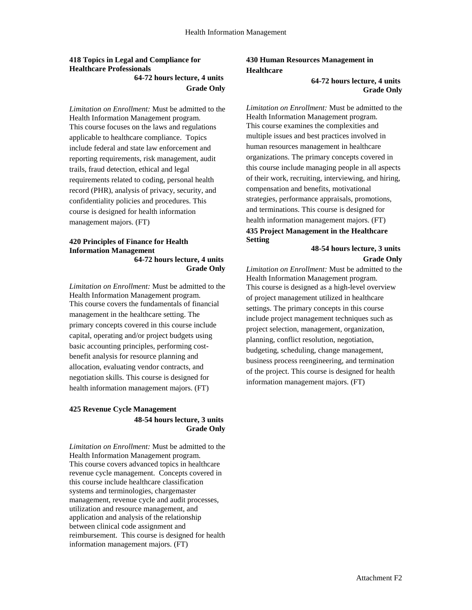#### **418 Topics in Legal and Compliance for Healthcare Professionals 64-72 hours lecture, 4 units Grade Only**

*Limitation on Enrollment:* Must be admitted to the Health Information Management program. This course focuses on the laws and regulations applicable to healthcare compliance. Topics include federal and state law enforcement and reporting requirements, risk management, audit trails, fraud detection, ethical and legal requirements related to coding, personal health record (PHR), analysis of privacy, security, and confidentiality policies and procedures. This course is designed for health information management majors. (FT)

#### **420 Principles of Finance for Health Information Management 64-72 hours lecture, 4 units Grade Only**

*Limitation on Enrollment:* Must be admitted to the Health Information Management program. This course covers the fundamentals of financial management in the healthcare setting. The primary concepts covered in this course include capital, operating and/or project budgets using basic accounting principles, performing costbenefit analysis for resource planning and allocation, evaluating vendor contracts, and negotiation skills. This course is designed for health information management majors. (FT)

### **425 Revenue Cycle Management 48-54 hours lecture, 3 units Grade Only**

*Limitation on Enrollment:* Must be admitted to the Health Information Management program. This course covers advanced topics in healthcare revenue cycle management. Concepts covered in this course include healthcare classification systems and terminologies, chargemaster management, revenue cycle and audit processes, utilization and resource management, and application and analysis of the relationship between clinical code assignment and reimbursement. This course is designed for health information management majors. (FT)

## **430 Human Resources Management in Healthcare**

#### **64-72 hours lecture, 4 units Grade Only**

*Limitation on Enrollment:* Must be admitted to the Health Information Management program. This course examines the complexities and multiple issues and best practices involved in human resources management in healthcare organizations. The primary concepts covered in this course include managing people in all aspects of their work, recruiting, interviewing, and hiring, compensation and benefits, motivational strategies, performance appraisals, promotions, and terminations. This course is designed for health information management majors. (FT) **435 Project Management in the Healthcare Setting**

## **48-54 hours lecture, 3 units Grade Only**

*Limitation on Enrollment:* Must be admitted to the Health Information Management program. This course is designed as a high-level overview of project management utilized in healthcare settings. The primary concepts in this course include project management techniques such as project selection, management, organization, planning, conflict resolution, negotiation, budgeting, scheduling, change management, business process reengineering, and termination of the project. This course is designed for health information management majors. (FT)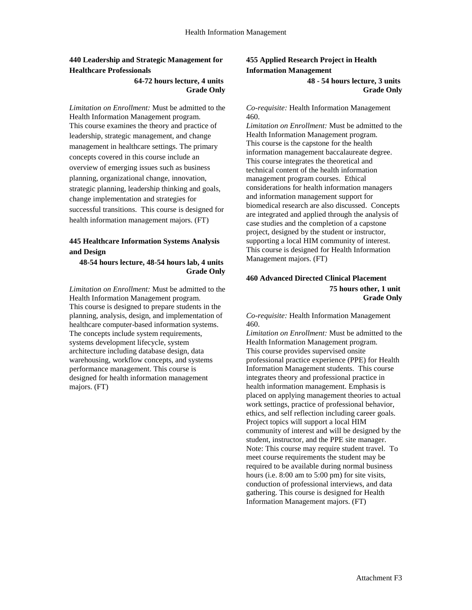## **440 Leadership and Strategic Management for Healthcare Professionals**

#### **64-72 hours lecture, 4 units Grade Only**

*Limitation on Enrollment:* Must be admitted to the Health Information Management program. This course examines the theory and practice of leadership, strategic management, and change management in healthcare settings. The primary concepts covered in this course include an overview of emerging issues such as business planning, organizational change, innovation, strategic planning, leadership thinking and goals, change implementation and strategies for successful transitions. This course is designed for health information management majors. (FT)

#### **445 Healthcare Information Systems Analysis and Design**

#### **48-54 hours lecture, 48-54 hours lab, 4 units Grade Only**

*Limitation on Enrollment:* Must be admitted to the Health Information Management program. This course is designed to prepare students in the planning, analysis, design, and implementation of healthcare computer-based information systems. The concepts include system requirements, systems development lifecycle, system architecture including database design, data warehousing, workflow concepts, and systems performance management. This course is designed for health information management majors. (FT)

## **455 Applied Research Project in Health Information Management 48 - 54 hours lecture, 3 units**

**Grade Only**

#### *Co-requisite:* Health Information Management 460.

*Limitation on Enrollment:* Must be admitted to the Health Information Management program. This course is the capstone for the health information management baccalaureate degree. This course integrates the theoretical and technical content of the health information management program courses. Ethical considerations for health information managers and information management support for biomedical research are also discussed. Concepts are integrated and applied through the analysis of case studies and the completion of a capstone project, designed by the student or instructor, supporting a local HIM community of interest. This course is designed for Health Information Management majors. (FT)

#### **460 Advanced Directed Clinical Placement 75 hours other, 1 unit Grade Only**

*Co-requisite:* Health Information Management 460.

*Limitation on Enrollment:* Must be admitted to the Health Information Management program. This course provides supervised onsite professional practice experience (PPE) for Health Information Management students. This course integrates theory and professional practice in health information management. Emphasis is placed on applying management theories to actual work settings, practice of professional behavior, ethics, and self reflection including career goals. Project topics will support a local HIM community of interest and will be designed by the student, instructor, and the PPE site manager. Note: This course may require student travel. To meet course requirements the student may be required to be available during normal business hours (i.e. 8:00 am to 5:00 pm) for site visits, conduction of professional interviews, and data gathering. This course is designed for Health Information Management majors. (FT)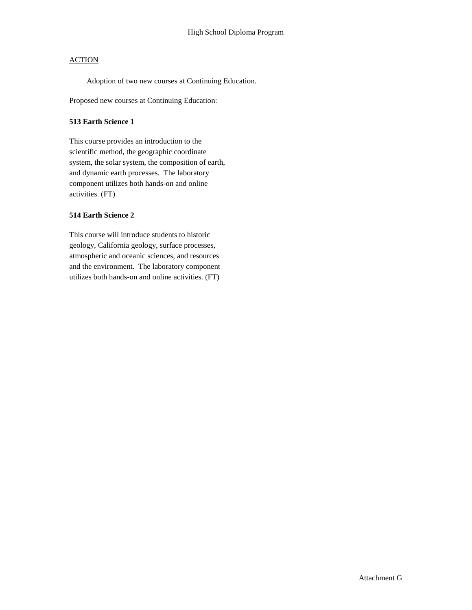Adoption of two new courses at Continuing Education.

Proposed new courses at Continuing Education:

#### **513 Earth Science 1**

This course provides an introduction to the scientific method, the geographic coordinate system, the solar system, the composition of earth, and dynamic earth processes. The laboratory component utilizes both hands-on and online activities. (FT)

#### **514 Earth Science 2**

This course will introduce students to historic geology, California geology, surface processes, atmospheric and oceanic sciences, and resources and the environment. The laboratory component utilizes both hands-on and online activities. (FT)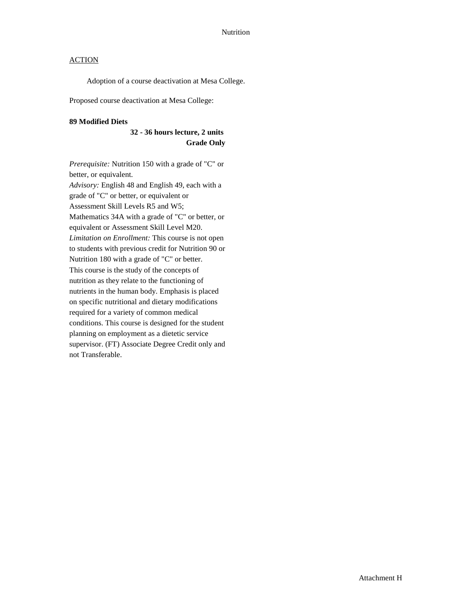Adoption of a course deactivation at Mesa College.

Proposed course deactivation at Mesa College:

#### **89 Modified Diets**

### **32 - 36 hours lecture, 2 units Grade Only**

*Prerequisite:* Nutrition 150 with a grade of "C" or better, or equivalent. *Advisory:* English 48 and English 49, each with a grade of "C" or better, or equivalent or Assessment Skill Levels R5 and W5; Mathematics 34A with a grade of "C" or better, or equivalent or Assessment Skill Level M20. *Limitation on Enrollment:* This course is not open to students with previous credit for Nutrition 90 or Nutrition 180 with a grade of "C" or better. This course is the study of the concepts of nutrition as they relate to the functioning of nutrients in the human body. Emphasis is placed on specific nutritional and dietary modifications required for a variety of common medical conditions. This course is designed for the student planning on employment as a dietetic service supervisor. (FT) Associate Degree Credit only and not Transferable.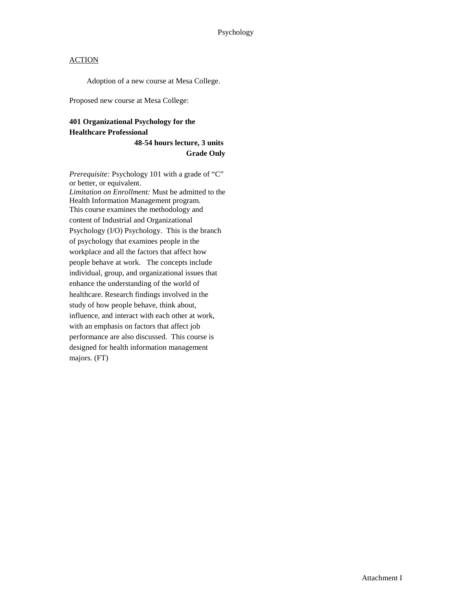Adoption of a new course at Mesa College.

Proposed new course at Mesa College:

## **401 Organizational Psychology for the Healthcare Professional**

**48-54 hours lecture, 3 units Grade Only**

*Prerequisite:* Psychology 101 with a grade of "C" or better, or equivalent. *Limitation on Enrollment:* Must be admitted to the Health Information Management program. This course examines the methodology and content of Industrial and Organizational Psychology (I/O) Psychology. This is the branch of psychology that examines people in the workplace and all the factors that affect how people behave at work. The concepts include individual, group, and organizational issues that enhance the understanding of the world of healthcare. Research findings involved in the study of how people behave, think about, influence, and interact with each other at work, with an emphasis on factors that affect job performance are also discussed. This course is designed for health information management majors. (FT)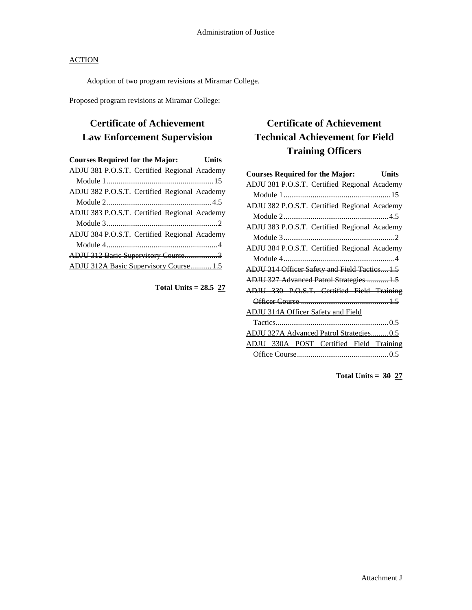Adoption of two program revisions at Miramar College.

Proposed program revisions at Miramar College:

## **Certificate of Achievement Law Enforcement Supervision**

| <b>Courses Required for the Major:</b>       | Units |
|----------------------------------------------|-------|
| ADJU 381 P.O.S.T. Certified Regional Academy |       |
|                                              |       |
| ADJU 382 P.O.S.T. Certified Regional Academy |       |
|                                              |       |
| ADJU 383 P.O.S.T. Certified Regional Academy |       |
|                                              |       |
| ADJU 384 P.O.S.T. Certified Regional Academy |       |
|                                              |       |
| ADJU 312 Basic Supervisory Course3           |       |
| ADJU 312A Basic Supervisory Course1.5        |       |

**Total Units = 28.5 27**

## **Certificate of Achievement Technical Achievement for Field Training Officers**

| <b>Courses Required for the Major:</b><br><b>Units</b> |  |
|--------------------------------------------------------|--|
| ADJU 381 P.O.S.T. Certified Regional Academy           |  |
|                                                        |  |
| ADJU 382 P.O.S.T. Certified Regional Academy           |  |
|                                                        |  |
| ADJU 383 P.O.S.T. Certified Regional Academy           |  |
|                                                        |  |
| ADJU 384 P.O.S.T. Certified Regional Academy           |  |
|                                                        |  |
| ADJU 314 Officer Safety and Field Tactics 1.5          |  |
| ADJU 327 Advanced Patrol Strategies  1.5               |  |
| ADJU 330 P.O.S.T. Certified Field Training             |  |
|                                                        |  |
| <b>ADJU 314A Officer Safety and Field</b>              |  |
|                                                        |  |
| ADJU 327A Advanced Patrol Strategies 0.5               |  |
| ADJU 330A POST Certified Field Training                |  |
|                                                        |  |

**Total Units = 30 27**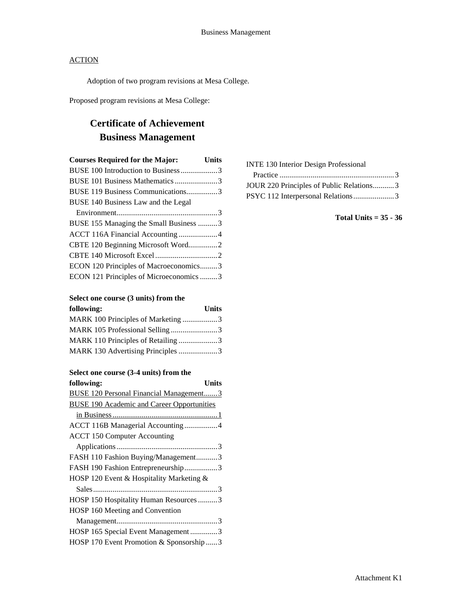Adoption of two program revisions at Mesa College.

Proposed program revisions at Mesa College:

# **Certificate of Achievement Business Management**

| <b>Courses Required for the Major:</b>  | <b>Units</b> |
|-----------------------------------------|--------------|
| BUSE 100 Introduction to Business3      |              |
| BUSE 101 Business Mathematics 3         |              |
| BUSE 119 Business Communications3       |              |
| BUSE 140 Business Law and the Legal     |              |
|                                         |              |
| BUSE 155 Managing the Small Business 3  |              |
| ACCT 116A Financial Accounting 4        |              |
| CBTE 120 Beginning Microsoft Word2      |              |
|                                         |              |
| ECON 120 Principles of Macroeconomics3  |              |
| ECON 121 Principles of Microeconomics 3 |              |

#### **Select one course (3 units) from the following: Units**

| TONOWINS:                          | UMUS - |
|------------------------------------|--------|
| MARK 100 Principles of Marketing 3 |        |
| MARK 105 Professional Selling3     |        |
| MARK 110 Principles of Retailing 3 |        |
| MARK 130 Advertising Principles 3  |        |

#### **Select one course (3-4 units) from the**

| following:                                        | Units |
|---------------------------------------------------|-------|
| BUSE 120 Personal Financial Management3           |       |
| <b>BUSE 190 Academic and Career Opportunities</b> |       |
|                                                   |       |
| ACCT 116B Managerial Accounting 4                 |       |
| <b>ACCT 150 Computer Accounting</b>               |       |
|                                                   |       |
| FASH 110 Fashion Buying/Management3               |       |
| FASH 190 Fashion Entrepreneurship3                |       |
| HOSP 120 Event & Hospitality Marketing &          |       |
|                                                   |       |
| HOSP 150 Hospitality Human Resources 3            |       |
| HOSP 160 Meeting and Convention                   |       |
|                                                   |       |
| HOSP 165 Special Event Management3                |       |
| HOSP 170 Event Promotion & Sponsorship3           |       |
|                                                   |       |

| <b>INTE 130 Interior Design Professional</b> |  |
|----------------------------------------------|--|
|                                              |  |
| JOUR 220 Principles of Public Relations3     |  |
| PSYC 112 Interpersonal Relations3            |  |
|                                              |  |

**Total Units = 35 - 36**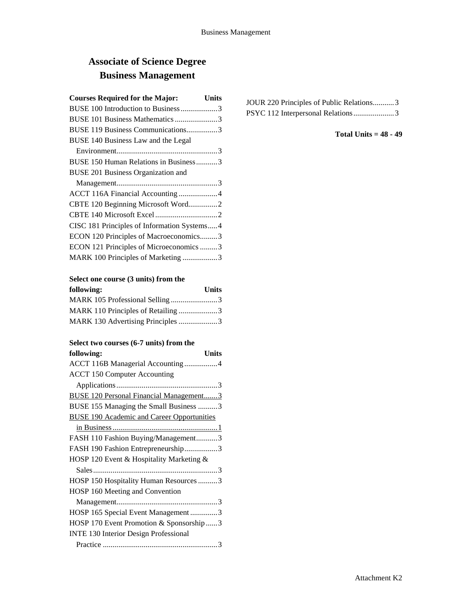# **Associate of Science Degree Business Management**

| <b>Courses Required for the Major:</b>      | Units |
|---------------------------------------------|-------|
| BUSE 100 Introduction to Business3          |       |
| BUSE 101 Business Mathematics 3             |       |
| BUSE 119 Business Communications3           |       |
| BUSE 140 Business Law and the Legal         |       |
|                                             |       |
| BUSE 150 Human Relations in Business3       |       |
| <b>BUSE 201 Business Organization and</b>   |       |
|                                             |       |
| ACCT 116A Financial Accounting 4            |       |
| CBTE 120 Beginning Microsoft Word2          |       |
|                                             |       |
| CISC 181 Principles of Information Systems4 |       |
| ECON 120 Principles of Macroeconomics3      |       |
| ECON 121 Principles of Microeconomics 3     |       |
| MARK 100 Principles of Marketing 3          |       |
|                                             |       |

| Select one course (3 units) from the |  |  |
|--------------------------------------|--|--|
|--------------------------------------|--|--|

| following:                         | <b>Units</b> |
|------------------------------------|--------------|
| MARK 105 Professional Selling3     |              |
| MARK 110 Principles of Retailing 3 |              |
| MARK 130 Advertising Principles 3  |              |

### **Select two courses (6-7 units) from the**

| following:<br>Units                               |
|---------------------------------------------------|
| ACCT 116B Managerial Accounting 4                 |
| <b>ACCT 150 Computer Accounting</b>               |
|                                                   |
| <b>BUSE 120 Personal Financial Management3</b>    |
| BUSE 155 Managing the Small Business 3            |
| <b>BUSE 190 Academic and Career Opportunities</b> |
|                                                   |
| FASH 110 Fashion Buying/Management3               |
| FASH 190 Fashion Entrepreneurship3                |
| HOSP 120 Event & Hospitality Marketing &          |
|                                                   |
| HOSP 150 Hospitality Human Resources 3            |
| HOSP 160 Meeting and Convention                   |
|                                                   |
| HOSP 165 Special Event Management3                |
| HOSP 170 Event Promotion & Sponsorship 3          |
| <b>INTE 130 Interior Design Professional</b>      |
|                                                   |

| JOUR 220 Principles of Public Relations3 |  |
|------------------------------------------|--|
| PSYC 112 Interpersonal Relations3        |  |

### **Total Units = 48 - 49**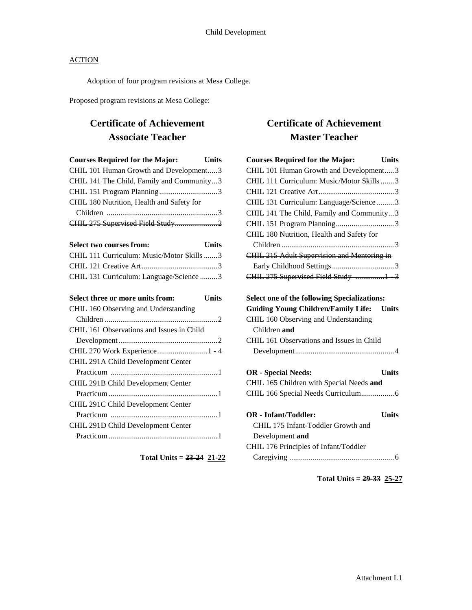Adoption of four program revisions at Mesa College.

Proposed program revisions at Mesa College:

## **Certificate of Achievement Associate Teacher**

| <b>Courses Required for the Major:</b>    | Units        |
|-------------------------------------------|--------------|
| CHIL 101 Human Growth and Development3    |              |
| CHIL 141 The Child, Family and Community3 |              |
|                                           |              |
| CHIL 180 Nutrition, Health and Safety for |              |
|                                           |              |
|                                           |              |
|                                           |              |
| <b>Select two courses from:</b>           | <b>Units</b> |
| CHIL 111 Curriculum: Music/Motor Skills 3 |              |
|                                           |              |
| CHIL 131 Curriculum: Language/Science 3   |              |
|                                           |              |
| Select three or more units from:          | <b>Units</b> |
| CHIL 160 Observing and Understanding      |              |
|                                           |              |
| CHIL 161 Observations and Issues in Child |              |
| $\sum_{i=1}^{n}$                          |              |

| Select two courses from:<br>Units         |
|-------------------------------------------|
| CHIL 111 Curriculum: Music/Motor Skills 3 |
|                                           |
| CHIL 131 Curriculum: Language/Science3    |
| Select three or more units from:<br>Units |
| CHIL 160 Observing and Understanding      |
|                                           |
| CHIL 161 Observations and Issues in Child |
|                                           |
| CHIL 270 Work Experience1 - 4             |
| CHIL 291A Child Development Center        |
|                                           |
| CHIL 291B Child Development Center        |
|                                           |
| CHIL 291C Child Development Center        |

## Practicum .......................................................1 CHIL 291D Child Development Center Practicum........................................................1

**Total Units = 23-24 21-22**

## **Certificate of Achievement Master Teacher**

| <b>Courses Required for the Major:</b><br><b>Units</b>     |
|------------------------------------------------------------|
| CHIL 101 Human Growth and Development3                     |
| CHIL 111 Curriculum: Music/Motor Skills3                   |
|                                                            |
| CHIL 131 Curriculum: Language/Science3                     |
| CHIL 141 The Child, Family and Community3                  |
|                                                            |
| CHIL 180 Nutrition, Health and Safety for                  |
|                                                            |
| CHIL 215 Adult Supervision and Mentoring in                |
|                                                            |
| CHIL 275 Supervised Field Study 1 3                        |
|                                                            |
| <b>Select one of the following Specializations:</b>        |
| <b>Guiding Young Children/Family Life:</b><br><b>Units</b> |
| CHIL 160 Observing and Understanding                       |
| Children and                                               |
| CHIL 161 Observations and Issues in Child                  |
|                                                            |
|                                                            |
| <b>OR</b> - Special Needs:<br><b>Units</b>                 |
| CHIL 165 Children with Special Needs and                   |
| CHIL 166 Special Needs Curriculum 6                        |
|                                                            |
| <b>OR</b> - Infant/Toddler:<br><b>Units</b>                |
| CHIL 175 Infant-Toddler Growth and                         |
| Development and                                            |
| CHIL 176 Principles of Infant/Toddler                      |
|                                                            |
|                                                            |

**Total Units = 29-33 25-27**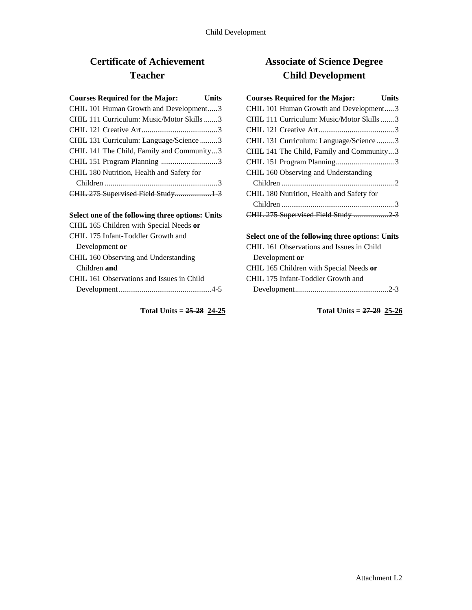# **Certificate of Achievement Teacher**

### **Select one of the following three options: Units**

| CHIL 165 Children with Special Needs or   |
|-------------------------------------------|
| CHIL 175 Infant-Toddler Growth and        |
| Development or                            |
| CHIL 160 Observing and Understanding      |
| Children and                              |
| CHIL 161 Observations and Issues in Child |
|                                           |
|                                           |

**Total Units = 25-28 24-25**

## **Associate of Science Degree Child Development**

| <b>Courses Required for the Major:</b><br>Units |
|-------------------------------------------------|
| CHIL 101 Human Growth and Development3          |
| CHIL 111 Curriculum: Music/Motor Skills3        |
|                                                 |
| CHIL 131 Curriculum: Language/Science3          |
| CHIL 141 The Child, Family and Community3       |
|                                                 |
| CHIL 160 Observing and Understanding            |
|                                                 |
| CHIL 180 Nutrition, Health and Safety for       |
|                                                 |
| CHIL 275 Supervised Field Study 2 3             |

## **Select one of the following three options: Units**

| CHIL 161 Observations and Issues in Child |
|-------------------------------------------|
| Development or                            |
| CHIL 165 Children with Special Needs or   |
| CHIL 175 Infant-Toddler Growth and        |
|                                           |

**Total Units = 27-29 25-26**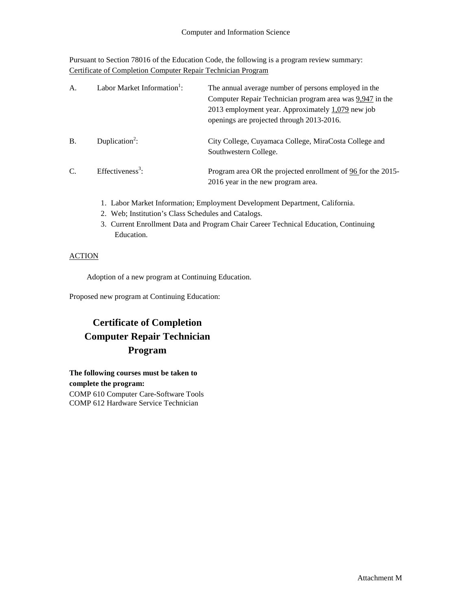Pursuant to Section 78016 of the Education Code, the following is a program review summary: Certificate of Completion Computer Repair Technician Program

| A.        | Labor Market Information <sup>1</sup> : | The annual average number of persons employed in the<br>Computer Repair Technician program area was 9,947 in the<br>2013 employment year. Approximately $1,079$ new job<br>openings are projected through 2013-2016. |
|-----------|-----------------------------------------|----------------------------------------------------------------------------------------------------------------------------------------------------------------------------------------------------------------------|
| <b>B.</b> | Duplication <sup>2</sup> :              | City College, Cuyamaca College, MiraCosta College and<br>Southwestern College.                                                                                                                                       |
| C.        | Effectiveness <sup>3</sup> :            | Program area OR the projected enrollment of 96 for the 2015-<br>2016 year in the new program area.                                                                                                                   |

- 1. Labor Market Information; Employment Development Department, California.
- 2. Web; Institution's Class Schedules and Catalogs.
- 3. Current Enrollment Data and Program Chair Career Technical Education, Continuing Education.

## **ACTION**

Adoption of a new program at Continuing Education.

Proposed new program at Continuing Education:

# **Certificate of Completion Computer Repair Technician Program**

**The following courses must be taken to complete the program:** COMP 610 Computer Care-Software Tools COMP 612 Hardware Service Technician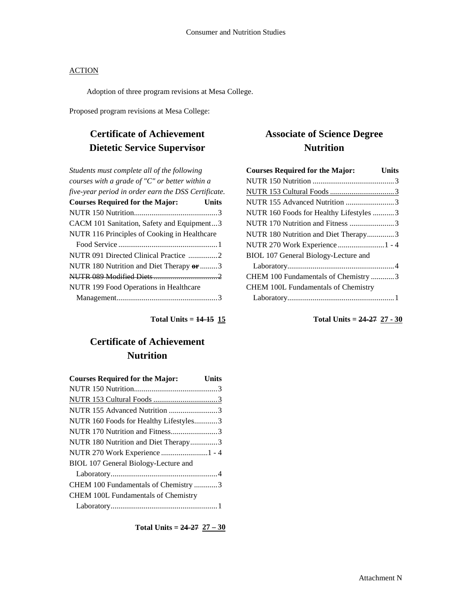Adoption of three program revisions at Mesa College.

Proposed program revisions at Mesa College:

# **Certificate of Achievement Dietetic Service Supervisor**

| Students must complete all of the following         |       |
|-----------------------------------------------------|-------|
| courses with a grade of "C" or better within a      |       |
| five-year period in order earn the DSS Certificate. |       |
| <b>Courses Required for the Major:</b>              | Units |
|                                                     |       |
| CACM 101 Sanitation, Safety and Equipment3          |       |
| NUTR 116 Principles of Cooking in Healthcare        |       |
|                                                     |       |
| NUTR 091 Directed Clinical Practice 2               |       |
| NUTR 180 Nutrition and Diet Therapy or 3            |       |
|                                                     |       |
| NUTR 199 Food Operations in Healthcare              |       |
|                                                     |       |

**Total Units = 14-15 15**

## **Certificate of Achievement Nutrition**

| <b>Courses Required for the Major:</b>     | Units |
|--------------------------------------------|-------|
|                                            |       |
|                                            |       |
| NUTR 155 Advanced Nutrition 3              |       |
| NUTR 160 Foods for Healthy Lifestyles3     |       |
| NUTR 170 Nutrition and Fitness3            |       |
| NUTR 180 Nutrition and Diet Therapy3       |       |
| NUTR 270 Work Experience 1 - 4             |       |
| BIOL 107 General Biology-Lecture and       |       |
|                                            |       |
| CHEM 100 Fundamentals of Chemistry 3       |       |
| <b>CHEM 100L Fundamentals of Chemistry</b> |       |
|                                            |       |

**Total Units = 24-27 27 – 30**

## **Associate of Science Degree Nutrition**

| <b>Courses Required for the Major:</b>     | <b>Units</b> |
|--------------------------------------------|--------------|
|                                            |              |
|                                            |              |
| NUTR 155 Advanced Nutrition 3              |              |
| NUTR 160 Foods for Healthy Lifestyles 3    |              |
| NUTR 170 Nutrition and Fitness 3           |              |
| NUTR 180 Nutrition and Diet Therapy3       |              |
| NUTR 270 Work Experience  1 - 4            |              |
| BIOL 107 General Biology-Lecture and       |              |
|                                            |              |
| CHEM 100 Fundamentals of Chemistry 3       |              |
| <b>CHEM 100L Fundamentals of Chemistry</b> |              |
|                                            |              |

**Total Units = 24-27 27 - 30**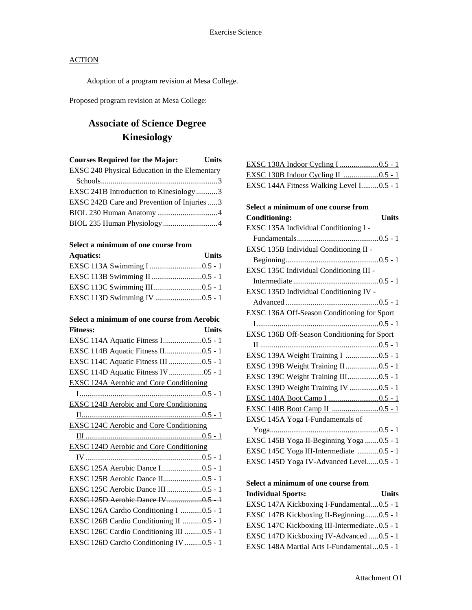Adoption of a program revision at Mesa College.

Proposed program revision at Mesa College:

## **Associate of Science Degree Kinesiology**

| <b>Courses Required for the Major:</b>        | <b>Units</b> |
|-----------------------------------------------|--------------|
| EXSC 240 Physical Education in the Elementary |              |
|                                               |              |
| EXSC 241B Introduction to Kinesiology3        |              |
| EXSC 242B Care and Prevention of Injuries 3   |              |
|                                               |              |
| BIOL 235 Human Physiology 4                   |              |

## **Select a minimum of one course from**

| <b>Aquatics:</b> | Units |
|------------------|-------|
|                  |       |
|                  |       |
|                  |       |
|                  |       |

#### **Select a minimum of one course from Aerobic Fitness: Units**

| EXSC 114A Aquatic Fitness I0.5 - 1             |
|------------------------------------------------|
| EXSC 114B Aquatic Fitness II0.5 - 1            |
| EXSC 114C Aquatic Fitness III 0.5 - 1          |
|                                                |
| <b>EXSC 124A Aerobic and Core Conditioning</b> |
|                                                |
| <b>EXSC 124B Aerobic and Core Conditioning</b> |
|                                                |
| <b>EXSC 124C Aerobic and Core Conditioning</b> |
|                                                |
| <b>EXSC 124D Aerobic and Core Conditioning</b> |
|                                                |
|                                                |
| EXSC 125A Aerobic Dance I0.5 - 1               |
| EXSC 125B Aerobic Dance II0.5 - 1              |
| EXSC 125C Aerobic Dance III 0.5 - 1            |
| EXSC 125D Aerobie Dance IV 0.5 - 1             |
| EXSC 126A Cardio Conditioning I 0.5 - 1        |
| EXSC 126B Cardio Conditioning II 0.5 - 1       |
| EXSC 126C Cardio Conditioning III 0.5 - 1      |
| EXSC 126D Cardio Conditioning IV 0.5 - 1       |

| EXSC 144A Fitness Walking Level I0.5 - 1 |  |
|------------------------------------------|--|

| Select a minimum of one course from         |
|---------------------------------------------|
| <b>Units</b><br><b>Conditioning:</b>        |
| EXSC 135A Individual Conditioning I -       |
|                                             |
| EXSC 135B Individual Conditioning II -      |
|                                             |
| EXSC 135C Individual Conditioning III -     |
|                                             |
| EXSC 135D Individual Conditioning IV -      |
|                                             |
| EXSC 136A Off-Season Conditioning for Sport |
|                                             |
| EXSC 136B Off-Season Conditioning for Sport |
|                                             |
| EXSC 139A Weight Training I 0.5 - 1         |
| EXSC 139B Weight Training II 0.5 - 1        |
| EXSC 139C Weight Training III0.5 - 1        |
| EXSC 139D Weight Training IV 0.5 - 1        |
|                                             |
|                                             |
| EXSC 145A Yoga I-Fundamentals of            |
|                                             |
| EXSC 145B Yoga II-Beginning Yoga 0.5 - 1    |
| EXSC 145C Yoga III-Intermediate 0.5 - 1     |
| EXSC 145D Yoga IV-Advanced Level0.5 - 1     |

## **Select a minimum of one course from**

| <b>Individual Sports:</b>                     | Units |
|-----------------------------------------------|-------|
| EXSC 147A Kickboxing I-Fundamental0.5 - 1     |       |
| EXSC 147B Kickboxing II-Beginning0.5 - 1      |       |
| EXSC 147C Kickboxing III-Intermediate 0.5 - 1 |       |
| EXSC 147D Kickboxing IV-Advanced  0.5 - 1     |       |
| EXSC 148A Martial Arts I-Fundamental  0.5 - 1 |       |
|                                               |       |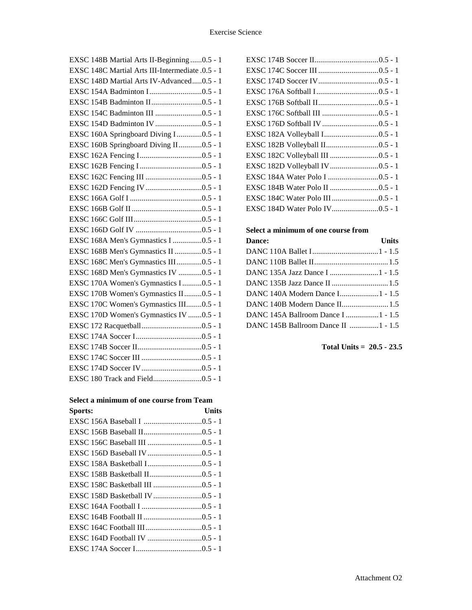| EXSC 148B Martial Arts II-Beginning 0.5 - 1      |
|--------------------------------------------------|
| EXSC 148C Martial Arts III-Intermediate .0.5 - 1 |
| EXSC 148D Martial Arts IV-Advanced0.5 - 1        |
|                                                  |
|                                                  |
|                                                  |
|                                                  |
| EXSC 160A Springboard Diving I0.5 - 1            |
| EXSC 160B Springboard Diving II0.5 - 1           |
|                                                  |
|                                                  |
|                                                  |
|                                                  |
|                                                  |
|                                                  |
|                                                  |
|                                                  |
| EXSC 168A Men's Gymnastics I 0.5 - 1             |
| EXSC 168B Men's Gymnastics II 0.5 - 1            |
| EXSC 168C Men's Gymnastics III0.5 - 1            |
| EXSC 168D Men's Gymnastics IV 0.5 - 1            |
| EXSC 170A Women's Gymnastics I0.5 - 1            |
| EXSC 170B Women's Gymnastics II0.5 - 1           |
| EXSC 170C Women's Gymnastics III0.5 - 1          |
| EXSC 170D Women's Gymnastics IV 0.5 - 1          |
|                                                  |
|                                                  |
|                                                  |
|                                                  |
|                                                  |
|                                                  |
|                                                  |

## **Select a minimum of one course from Team**

| Sports: | Units |
|---------|-------|
|         |       |
|         |       |
|         |       |
|         |       |
|         |       |
|         |       |
|         |       |
|         |       |
|         |       |
|         |       |
|         |       |
|         |       |
|         |       |

### **Select a minimum of one course from**

| <b>Dance:</b>                       | <b>Units</b> |
|-------------------------------------|--------------|
|                                     |              |
|                                     |              |
| DANC 135A Jazz Dance I 1 - 1.5      |              |
|                                     |              |
| DANC 140A Modern Dance I1 - 1.5     |              |
| DANC 140B Modern Dance II 1.5       |              |
| DANC 145A Ballroom Dance I 1 - 1.5  |              |
| DANC 145B Ballroom Dance II 1 - 1.5 |              |
|                                     |              |

## **Total Units = 20.5 - 23.5**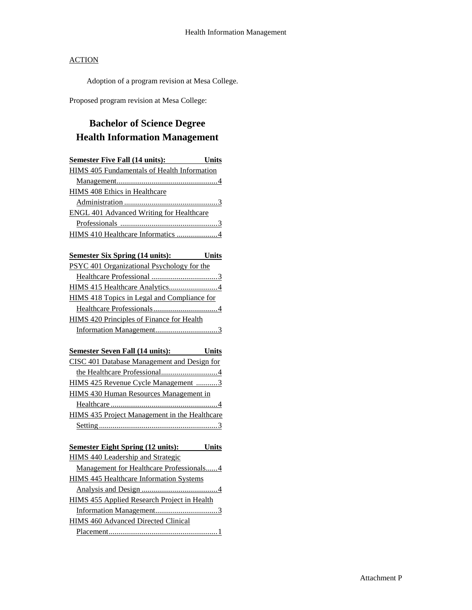Adoption of a program revision at Mesa College.

Proposed program revision at Mesa College:

# **Bachelor of Science Degree Health Information Management**

| <b>Semester Five Fall (14 units):</b> Units        |  |
|----------------------------------------------------|--|
| <b>HIMS 405 Fundamentals of Health Information</b> |  |
|                                                    |  |
| <b>HIMS 408 Ethics in Healthcare</b>               |  |
|                                                    |  |
| <b>ENGL 401 Advanced Writing for Healthcare</b>    |  |
|                                                    |  |
|                                                    |  |
| Semester Six Spring (14 units): Units              |  |
| PSYC 401 Organizational Psychology for the         |  |
|                                                    |  |
|                                                    |  |
| HIMS 418 Topics in Legal and Compliance for        |  |
|                                                    |  |
| <b>HIMS 420 Principles of Finance for Health</b>   |  |
|                                                    |  |
|                                                    |  |
| <b>Semester Seven Fall (14 units): Units</b>       |  |
| CISC 401 Database Management and Design for        |  |
|                                                    |  |
| HIMS 425 Revenue Cycle Management 3                |  |
| <b>HIMS 430 Human Resources Management in</b>      |  |
|                                                    |  |
| HIMS 435 Project Management in the Healthcare      |  |
|                                                    |  |
|                                                    |  |
| <b>Semester Eight Spring (12 units): Units</b>     |  |
| HIMS 440 Leadership and Strategic                  |  |
| Management for Healthcare Professionals4           |  |
| <b>HIMS 445 Healthcare Information Systems</b>     |  |
|                                                    |  |
| <b>HIMS 455 Applied Research Project in Health</b> |  |
|                                                    |  |
| <b>HIMS 460 Advanced Directed Clinical</b>         |  |
|                                                    |  |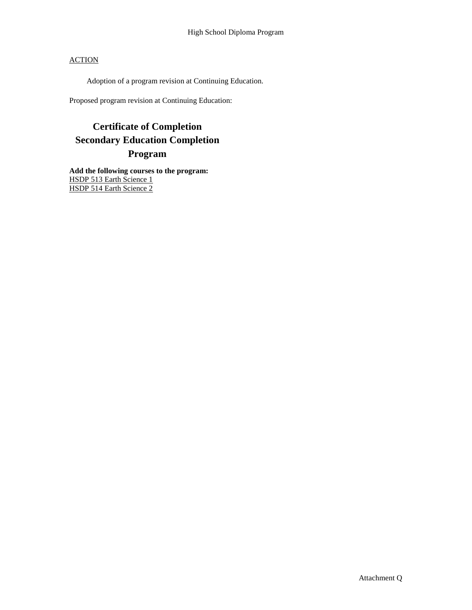Adoption of a program revision at Continuing Education.

Proposed program revision at Continuing Education:

## **Certificate of Completion Secondary Education Completion Program**

**Add the following courses to the program:** HSDP 513 Earth Science 1 HSDP 514 Earth Science 2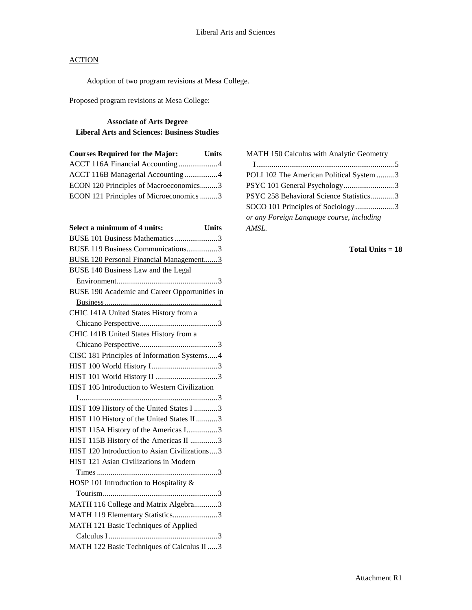Adoption of two program revisions at Mesa College.

Proposed program revisions at Mesa College:

## **Associate of Arts Degree Liberal Arts and Sciences: Business Studies**

| <b>Courses Required for the Major:</b>  | <b>Units</b> |
|-----------------------------------------|--------------|
| ACCT 116A Financial Accounting4         |              |
| ACCT 116B Managerial Accounting 4       |              |
| ECON 120 Principles of Macroeconomics3  |              |
| ECON 121 Principles of Microeconomics 3 |              |

| Select a minimum of 4 units:                         | <b>Units</b> |
|------------------------------------------------------|--------------|
| BUSE 101 Business Mathematics 3                      |              |
| BUSE 119 Business Communications3                    |              |
| <b>BUSE 120 Personal Financial Management3</b>       |              |
| BUSE 140 Business Law and the Legal                  |              |
|                                                      | $\ldots$ 3   |
| <b>BUSE 190 Academic and Career Opportunities in</b> |              |
|                                                      |              |
| CHIC 141A United States History from a               |              |
|                                                      |              |
| CHIC 141B United States History from a               |              |
|                                                      |              |
| CISC 181 Principles of Information Systems4          |              |
|                                                      |              |
|                                                      |              |
| HIST 105 Introduction to Western Civilization        |              |
|                                                      |              |
| HIST 109 History of the United States I 3            |              |
| HIST 110 History of the United States II 3           |              |
| HIST 115A History of the Americas I3                 |              |
| HIST 115B History of the Americas II 3               |              |
| HIST 120 Introduction to Asian Civilizations3        |              |
| HIST 121 Asian Civilizations in Modern               |              |
|                                                      |              |
| HOSP 101 Introduction to Hospitality &               |              |
|                                                      |              |
| MATH 116 College and Matrix Algebra3                 |              |
| MATH 119 Elementary Statistics3                      |              |
| MATH 121 Basic Techniques of Applied                 |              |
|                                                      |              |
| MATH 122 Basic Techniques of Calculus II  3          |              |

MATH 150 Calculus with Analytic Geometry I.......................................................................5 POLI 102 The American Political System .........3 PSYC 101 General Psychology..............................3 PSYC 258 Behavioral Science Statistics............3 SOCO 101 Principles of Sociology....................3 *or any Foreign Language course, including AMSL.*

#### **Total Units = 18**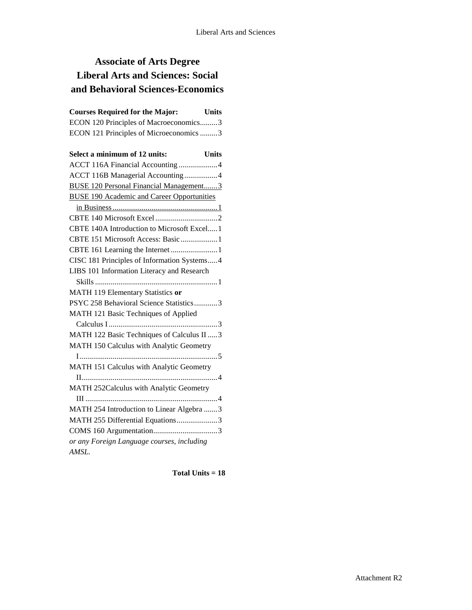# **Associate of Arts Degree Liberal Arts and Sciences: Social and Behavioral Sciences-Economics**

| <b>Courses Required for the Major:</b>            | <b>Units</b> |
|---------------------------------------------------|--------------|
| ECON 120 Principles of Macroeconomics3            |              |
| ECON 121 Principles of Microeconomics 3           |              |
| Select a minimum of 12 units:                     | <b>Units</b> |
| ACCT 116A Financial Accounting 4                  |              |
| ACCT 116B Managerial Accounting 4                 |              |
| <b>BUSE 120 Personal Financial Management3</b>    |              |
| <b>BUSE 190 Academic and Career Opportunities</b> |              |
|                                                   |              |
|                                                   |              |
| CBTE 140A Introduction to Microsoft Excel 1       |              |
| CBTE 151 Microsoft Access: Basic  1               |              |
| CBTE 161 Learning the Internet 1                  |              |
| CISC 181 Principles of Information Systems4       |              |
| LIBS 101 Information Literacy and Research        |              |
| MATH 119 Elementary Statistics or                 |              |
| PSYC 258 Behavioral Science Statistics3           |              |
| MATH 121 Basic Techniques of Applied              |              |
|                                                   |              |
| MATH 122 Basic Techniques of Calculus II  3       |              |
| MATH 150 Calculus with Analytic Geometry          |              |
|                                                   |              |
| MATH 151 Calculus with Analytic Geometry          |              |
|                                                   |              |
| MATH 252Calculus with Analytic Geometry           |              |
|                                                   |              |
| MATH 254 Introduction to Linear Algebra 3         |              |
| MATH 255 Differential Equations3                  |              |
|                                                   |              |
| or any Foreign Language courses, including        |              |
| AMSL.                                             |              |

**Total Units = 18**